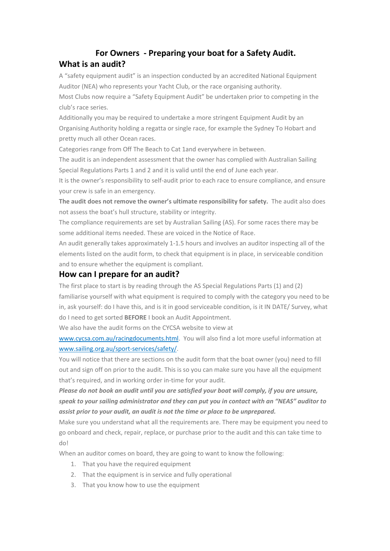## **For Owners - Preparing your boat for a Safety Audit. What is an audit?**

A "safety equipment audit" is an inspection conducted by an accredited National Equipment Auditor (NEA) who represents your Yacht Club, or the race organising authority.

Most Clubs now require a "Safety Equipment Audit" be undertaken prior to competing in the club's race series.

Additionally you may be required to undertake a more stringent Equipment Audit by an Organising Authority holding a regatta or single race, for example the Sydney To Hobart and pretty much all other Ocean races.

Categories range from Off The Beach to Cat 1and everywhere in between.

The audit is an independent assessment that the owner has complied with Australian Sailing Special Regulations Parts 1 and 2 and it is valid until the end of June each year.

It is the owner's responsibility to self-audit prior to each race to ensure compliance, and ensure your crew is safe in an emergency.

**The audit does not remove the owner's ultimate responsibility for safety.** The audit also does not assess the boat's hull structure, stability or integrity.

The compliance requirements are set by Australian Sailing (AS). For some races there may be some additional items needed. These are voiced in the Notice of Race.

An audit generally takes approximately 1-1.5 hours and involves an auditor inspecting all of the elements listed on the audit form, to check that equipment is in place, in serviceable condition and to ensure whether the equipment is compliant.

## **How can I prepare for an audit?**

The first place to start is by reading through the AS Special Regulations Parts (1) and (2) familiarise yourself with what equipment is required to comply with the category you need to be in, ask yourself: do I have this, and is it in good serviceable condition, is it IN DATE/ Survey, what do I need to get sorted **BEFORE** I book an Audit Appointment.

We also have the audit forms on the CYCSA website to view at

www.cycsa.com.au/racingdocuments.html. You will also find a lot more useful information at www.sailing.org.au/sport-services/safety/.

You will notice that there are sections on the audit form that the boat owner (you) need to fill out and sign off on prior to the audit. This is so you can make sure you have all the equipment that's required, and in working order in-time for your audit.

*Please do not book an audit until you are satisfied your boat will comply, if you are unsure, speak to your sailing administrator and they can put you in contact with an "NEAS" auditor to assist prior to your audit, an audit is not the time or place to be unprepared.*

Make sure you understand what all the requirements are. There may be equipment you need to go onboard and check, repair, replace, or purchase prior to the audit and this can take time to do!

When an auditor comes on board, they are going to want to know the following:

- 1. That you have the required equipment
- 2. That the equipment is in service and fully operational
- 3. That you know how to use the equipment